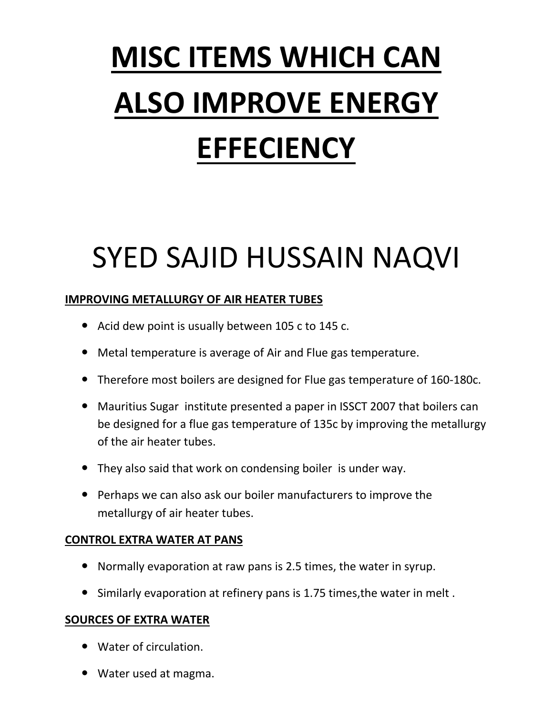# **MISC ITEMS WHICH CAN ALSO IMPROVE ENERGY EFFECIENCY**

# SYED SAJID HUSSAIN NAQVI

## **IMPROVING METALLURGY OF AIR HEATER TUBES**

- Acid dew point is usually between 105 c to 145 c.
- Metal temperature is average of Air and Flue gas temperature.
- Therefore most boilers are designed for Flue gas temperature of 160-180c.
- Mauritius Sugar institute presented a paper in ISSCT 2007 that boilers can be designed for a flue gas temperature of 135c by improving the metallurgy of the air heater tubes.
- They also said that work on condensing boiler is under way.
- Perhaps we can also ask our boiler manufacturers to improve the metallurgy of air heater tubes.

### **CONTROL EXTRA WATER AT PANS**

- Normally evaporation at raw pans is 2.5 times, the water in syrup.
- Similarly evaporation at refinery pans is 1.75 times,the water in melt .

#### **SOURCES OF EXTRA WATER**

- Water of circulation.
- Water used at magma.